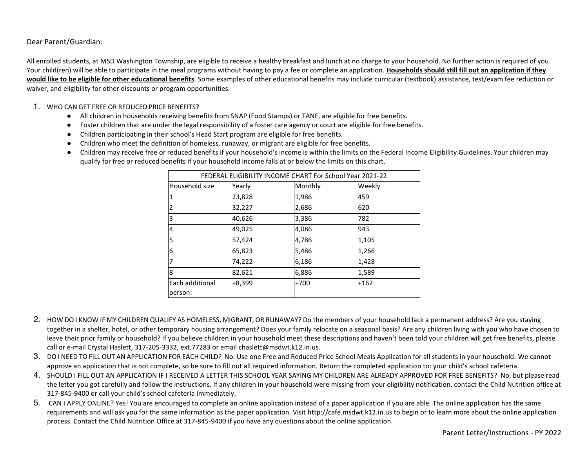Dear Parent/Guardian:

All enrolled students, at MSD Washington Township, are eligible to receive a healthy breakfast and lunch at no charge to your household. No further action is required of you. Your child(ren) will be able to participate in the meal programs without having to pay a fee or complete an application. Households should still fill out an application if they **would like to be eligible for other educational benefits**. Some examples of other educational benefits may include curricular (textbook) assistance, test/exam fee reduction or waiver, and eligibility for other discounts or program opportunities.

#### 1. WHO CAN GET FREE OR REDUCED PRICE BENEFITS?

- All children in households receiving benefits from SNAP (Food Stamps) or TANF, are eligible for free benefits.
- Foster children that are under the legal responsibility of a foster care agency or court are eligible for free benefits.
- Children participating in their school's Head Start program are eligible for free benefits.
- Children who meet the definition of homeless, runaway, or migrant are eligible for free benefits.
- Children may receive free or reduced benefits if your household's income is within the limits on the Federal Income Eligibility Guidelines. Your children may qualify for free or reduced benefits if your household income falls at or below the limits on this chart.

| FEDERAL ELIGIBILITY INCOME CHART For School Year 2021-22 |          |         |        |
|----------------------------------------------------------|----------|---------|--------|
| Household size                                           | Yearly   | Monthly | Weekly |
|                                                          | 23,828   | 1,986   | 459    |
| 2                                                        | 32,227   | 2,686   | 620    |
| 3                                                        | 40,626   | 3,386   | 782    |
| 4                                                        | 49,025   | 4,086   | 943    |
| 5                                                        | 57,424   | 4,786   | 1,105  |
| 6                                                        | 65,823   | 5,486   | 1,266  |
| 7                                                        | 74,222   | 6,186   | 1,428  |
| 8                                                        | 82,621   | 6,886   | 1,589  |
| Each additional                                          | $+8,399$ | $+700$  | $+162$ |
| person:                                                  |          |         |        |

- 2. HOW DO I KNOW IF MY CHILDREN QUALIFY AS HOMELESS, MIGRANT, OR RUNAWAY? Do the members of your household lack a permanent address? Are you staying together in a shelter, hotel, or other temporary housing arrangement? Does your family relocate on a seasonal basis? Are any children living with you who have chosen to leave their prior family or household? If you believe children in your household meet these descriptions and haven't been told your children will get free benefits, please call or e-mail Crystal Haslett, 317-205-3332, ext.77283 or email chaslett@msdwt.k12.in.us.
- 3. DO I NEED TO FILL OUT AN APPLICATION FOR EACH CHILD? No. Use one Free and Reduced Price School Meals Application for all students in your household. We cannot approve an application that is not complete, so be sure to fill out all required information. Return the completed application to: your child's school cafeteria.
- 4. SHOULD I FILL OUT AN APPLICATION IF I RECEIVED A LETTER THIS SCHOOL YEAR SAYING MY CHILDREN ARE ALREADY APPROVED FOR FREE BENEFITS? No, but please read the letter you got carefully and follow the instructions. If any children in your household were missing from your eligibility notification, contact the Child Nutrition office at 317-845-9400 or call your child's school cafeteria immediately.
- 5. CAN I APPLY ONLINE? Yes! You are encouraged to complete an online application instead of a paper application if you are able. The online application has the same requirements and will ask you for the same information as the paper application. Visit http://cafe.msdwt.k12.in.us to begin or to learn more about the online application process. Contact the Child Nutrition Office at 317-845-9400 if you have any questions about the online application.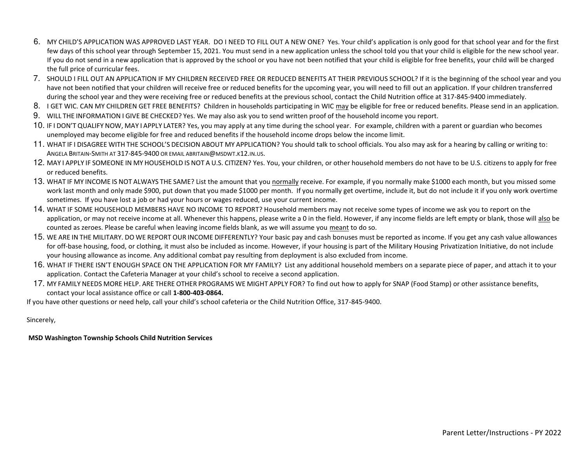- 6. MY CHILD'S APPLICATION WAS APPROVED LAST YEAR. DO I NEED TO FILL OUT A NEW ONE? Yes. Your child's application is only good for that school year and for the first few days of this school year through September 15, 2021. You must send in a new application unless the school told you that your child is eligible for the new school year. If you do not send in a new application that is approved by the school or you have not been notified that your child is eligible for free benefits, your child will be charged the full price of curricular fees.
- 7. SHOULD I FILL OUT AN APPLICATION IF MY CHILDREN RECEIVED FREE OR REDUCED BENEFITS AT THEIR PREVIOUS SCHOOL? If it is the beginning of the school year and you have not been notified that your children will receive free or reduced benefits for the upcoming year, you will need to fill out an application. If your children transferred during the school year and they were receiving free or reduced benefits at the previous school, contact the Child Nutrition office at 317-845-9400 immediately.
- 8. I GET WIC. CAN MY CHILDREN GET FREE BENEFITS? Children in households participating in WIC may be eligible for free or reduced benefits. Please send in an application.
- 9. WILL THE INFORMATION I GIVE BE CHECKED? Yes. We may also ask you to send written proof of the household income you report.
- 10. IF I DON'T QUALIFY NOW, MAY I APPLY LATER? Yes, you may apply at any time during the school year. For example, children with a parent or guardian who becomes unemployed may become eligible for free and reduced benefits if the household income drops below the income limit.
- 11. WHAT IF I DISAGREE WITH THE SCHOOL'S DECISION ABOUT MY APPLICATION? You should talk to school officials. You also may ask for a hearing by calling or writing to: ANGELA BRITAIN-SMITH AT 317-845-9400 OR EMAIL ABRITAIN@MSDWT.K12.IN.US.
- 12. MAY I APPLY IF SOMEONE IN MY HOUSEHOLD IS NOT A U.S. CITIZEN? Yes. You, your children, or other household members do not have to be U.S. citizens to apply for free or reduced benefits.
- 13. WHAT IF MY INCOME IS NOT ALWAYS THE SAME? List the amount that you normally receive. For example, if you normally make \$1000 each month, but you missed some work last month and only made \$900, put down that you made \$1000 per month. If you normally get overtime, include it, but do not include it if you only work overtime sometimes. If you have lost a job or had your hours or wages reduced, use your current income.
- 14. WHAT IF SOME HOUSEHOLD MEMBERS HAVE NO INCOME TO REPORT? Household members may not receive some types of income we ask you to report on the application, or may not receive income at all. Whenever this happens, please write a 0 in the field. However, if any income fields are left empty or blank, those will also be counted as zeroes. Please be careful when leaving income fields blank, as we will assume you meant to do so.
- 15. WE ARE IN THE MILITARY. DO WE REPORT OUR INCOME DIFFERENTLY? Your basic pay and cash bonuses must be reported as income. If you get any cash value allowances for off-base housing, food, or clothing, it must also be included as income. However, if your housing is part of the Military Housing Privatization Initiative, do not include your housing allowance as income. Any additional combat pay resulting from deployment is also excluded from income.
- 16. WHAT IF THERE ISN'T ENOUGH SPACE ON THE APPLICATION FOR MY FAMILY? List any additional household members on a separate piece of paper, and attach it to your application. Contact the Cafeteria Manager at your child's school to receive a second application.
- 17. MY FAMILY NEEDS MORE HELP. ARE THERE OTHER PROGRAMS WE MIGHT APPLY FOR? To find out how to apply for SNAP (Food Stamp) or other assistance benefits, contact your local assistance office or call **1-800-403-0864.**

If you have other questions or need help, call your child's school cafeteria or the Child Nutrition Office, 317-845-9400.

Sincerely,

 **MSD Washington Township Schools Child Nutrition Services**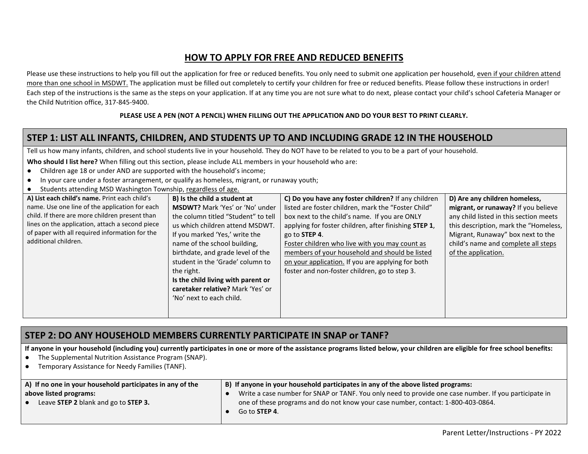# **HOW TO APPLY FOR FREE AND REDUCED BENEFITS**

Please use these instructions to help you fill out the application for free or reduced benefits. You only need to submit one application per household, even if your children attend more than one school in MSDWT. The application must be filled out completely to certify your children for free or reduced benefits. Please follow these instructions in order! Each step of the instructions is the same as the steps on your application. If at any time you are not sure what to do next, please contact your child's school Cafeteria Manager or the Child Nutrition office, 317-845-9400.

#### **PLEASE USE A PEN (NOT A PENCIL) WHEN FILLING OUT THE APPLICATION AND DO YOUR BEST TO PRINT CLEARLY.**

### **STEP 1: LIST ALL INFANTS, CHILDREN, AND STUDENTS UP TO AND INCLUDING GRADE 12 IN THE HOUSEHOLD**

Tell us how many infants, children, and school students live in your household. They do NOT have to be related to you to be a part of your household.

**Who should I list here?** When filling out this section, please include ALL members in your household who are:

- Children age 18 or under AND are supported with the household's income;
- In your care under a foster arrangement, or qualify as homeless, migrant, or runaway youth;
- Students attending MSD Washington Township, regardless of age.

| students attenuing MSD washington TOWNSHIP, regardless of age. |                                        |                                                       |                                        |
|----------------------------------------------------------------|----------------------------------------|-------------------------------------------------------|----------------------------------------|
| A) List each child's name. Print each child's                  | B) Is the child a student at           | C) Do you have any foster children? If any children   | D) Are any children homeless,          |
| name. Use one line of the application for each                 | <b>MSDWT?</b> Mark 'Yes' or 'No' under | listed are foster children, mark the "Foster Child"   | migrant, or runaway? If you believe    |
| child. If there are more children present than                 | the column titled "Student" to tell    | box next to the child's name. If you are ONLY         | any child listed in this section meets |
| lines on the application, attach a second piece                | us which children attend MSDWT.        | applying for foster children, after finishing STEP 1, | this description, mark the "Homeless,  |
| of paper with all required information for the                 | If you marked 'Yes,' write the         | go to STEP 4.                                         | Migrant, Runaway" box next to the      |
| additional children.                                           | name of the school building,           | Foster children who live with you may count as        | child's name and complete all steps    |
|                                                                | birthdate, and grade level of the      | members of your household and should be listed        | of the application.                    |
|                                                                | student in the 'Grade' column to       | on your application. If you are applying for both     |                                        |
|                                                                | the right.                             | foster and non-foster children, go to step 3.         |                                        |
|                                                                | Is the child living with parent or     |                                                       |                                        |
|                                                                | caretaker relative? Mark 'Yes' or      |                                                       |                                        |
|                                                                | 'No' next to each child.               |                                                       |                                        |
|                                                                |                                        |                                                       |                                        |
|                                                                |                                        |                                                       |                                        |

# **STEP 2: DO ANY HOUSEHOLD MEMBERS CURRENTLY PARTICIPATE IN SNAP or TANF?**

**If anyone in your household (including you) currently participates in one or more of the assistance programs listed below, your children are eligible for free school benefits:** 

- The Supplemental Nutrition Assistance Program (SNAP).
- Temporary Assistance for Needy Families (TANF).

| A) If no one in your household participates in any of the | B) If anyone in your household participates in any of the above listed programs:                      |
|-----------------------------------------------------------|-------------------------------------------------------------------------------------------------------|
| above listed programs:                                    | Write a case number for SNAP or TANF. You only need to provide one case number. If you participate in |
| Leave STEP 2 blank and go to STEP 3.                      | one of these programs and do not know your case number, contact: 1-800-403-0864.                      |
|                                                           | Go to <b>STEP 4</b> .                                                                                 |
|                                                           |                                                                                                       |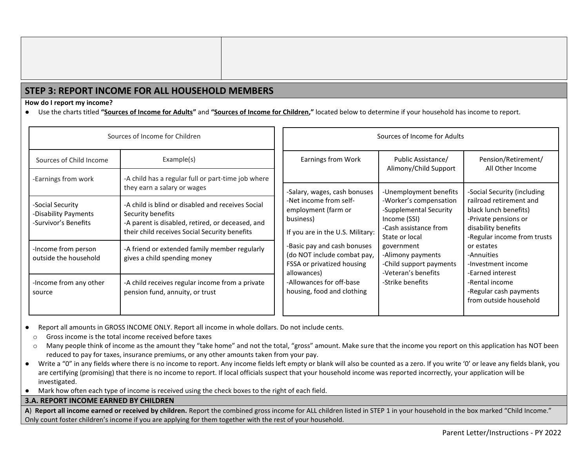# **STEP 3: REPORT INCOME FOR ALL HOUSEHOLD MEMBERS**

**How do I report my income?** 

● Use the charts titled **"Sources of Income for Adults"** and **"Sources of Income for Children,"** located below to determine if your household has income to report.

| Sources of Income for Children                                   |                                                                                                                                                                             | Sources of Income for Adults                                                                                                                                                               |                                                                                                             |                                                                                                                                |
|------------------------------------------------------------------|-----------------------------------------------------------------------------------------------------------------------------------------------------------------------------|--------------------------------------------------------------------------------------------------------------------------------------------------------------------------------------------|-------------------------------------------------------------------------------------------------------------|--------------------------------------------------------------------------------------------------------------------------------|
| Sources of Child Income<br>-Earnings from work                   | Example(s)<br>-A child has a regular full or part-time job where                                                                                                            | Earnings from Work                                                                                                                                                                         | Public Assistance/<br>Alimony/Child Support                                                                 | Pension/Retirement/<br>All Other Income                                                                                        |
|                                                                  | they earn a salary or wages                                                                                                                                                 | -Salary, wages, cash bonuses                                                                                                                                                               | -Unemployment benefits                                                                                      | -Social Security (including                                                                                                    |
| -Social Security<br>-Disability Payments<br>-Survivor's Benefits | -A child is blind or disabled and receives Social<br>Security benefits<br>-A parent is disabled, retired, or deceased, and<br>their child receives Social Security benefits | -Net income from self-<br>employment (farm or<br>business)<br>If you are in the U.S. Military:<br>-Basic pay and cash bonuses<br>(do NOT include combat pay,<br>FSSA or privatized housing | -Worker's compensation<br>-Supplemental Security<br>Income (SSI)<br>-Cash assistance from<br>State or local | railroad retirement and<br>black lunch benefits)<br>-Private pensions or<br>disability benefits<br>-Regular income from trusts |
| -Income from person<br>outside the household                     | -A friend or extended family member regularly<br>gives a child spending money                                                                                               |                                                                                                                                                                                            | government<br>-Veteran's benefits<br>allowances)                                                            | -Alimony payments<br>-Child support payments                                                                                   |
| -Income from any other<br>source                                 | -A child receives regular income from a private<br>pension fund, annuity, or trust                                                                                          | -Allowances for off-base<br>housing, food and clothing                                                                                                                                     | -Strike benefits                                                                                            | -Rental income<br>-Regular cash payments<br>from outside household                                                             |

● Report all amounts in GROSS INCOME ONLY. Report all income in whole dollars. Do not include cents.

o Gross income is the total income received before taxes

- o Many people think of income as the amount they "take home" and not the total, "gross" amount. Make sure that the income you report on this application has NOT been reduced to pay for taxes, insurance premiums, or any other amounts taken from your pay.
- Write a "0" in any fields where there is no income to report. Any income fields left empty or blank will also be counted as a zero. If you write '0' or leave any fields blank, you are certifying (promising) that there is no income to report. If local officials suspect that your household income was reported incorrectly, your application will be investigated.
- Mark how often each type of income is received using the check boxes to the right of each field.

#### **3.A. REPORT INCOME EARNED BY CHILDREN**

**A**) **Report all income earned or received by children.** Report the combined gross income for ALL children listed in STEP 1 in your household in the box marked "Child Income." Only count foster children's income if you are applying for them together with the rest of your household.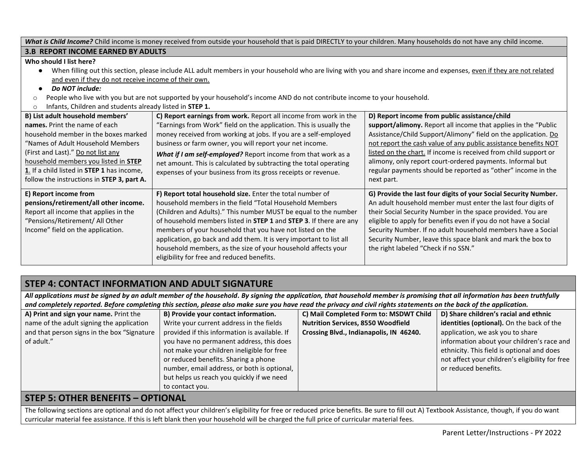| What is Child Income? Child income is money received from outside your household that is paid DIRECTLY to your children. Many households do not have any child income.                                                                                                                                                                                                                                                                                                                       |                                                                                                                                                                                                                                                                                                                                                                                                                                                                                                                  |                                                                                                                                                                                                                                                                                                                                                                                                                                                                      |  |
|----------------------------------------------------------------------------------------------------------------------------------------------------------------------------------------------------------------------------------------------------------------------------------------------------------------------------------------------------------------------------------------------------------------------------------------------------------------------------------------------|------------------------------------------------------------------------------------------------------------------------------------------------------------------------------------------------------------------------------------------------------------------------------------------------------------------------------------------------------------------------------------------------------------------------------------------------------------------------------------------------------------------|----------------------------------------------------------------------------------------------------------------------------------------------------------------------------------------------------------------------------------------------------------------------------------------------------------------------------------------------------------------------------------------------------------------------------------------------------------------------|--|
| <b>3.B REPORT INCOME EARNED BY ADULTS</b>                                                                                                                                                                                                                                                                                                                                                                                                                                                    |                                                                                                                                                                                                                                                                                                                                                                                                                                                                                                                  |                                                                                                                                                                                                                                                                                                                                                                                                                                                                      |  |
| Who should I list here?<br>When filling out this section, please include ALL adult members in your household who are living with you and share income and expenses, even if they are not related<br>$\bullet$<br>and even if they do not receive income of their own.<br>Do NOT include:<br>People who live with you but are not supported by your household's income AND do not contribute income to your household.<br>$\circ$<br>Infants, Children and students already listed in STEP 1. |                                                                                                                                                                                                                                                                                                                                                                                                                                                                                                                  |                                                                                                                                                                                                                                                                                                                                                                                                                                                                      |  |
| B) List adult household members'<br>names. Print the name of each<br>household member in the boxes marked<br>"Names of Adult Household Members<br>(First and Last)." Do not list any<br>household members you listed in STEP<br>1. If a child listed in <b>STEP 1</b> has income,<br>follow the instructions in STEP 3, part A.                                                                                                                                                              | C) Report earnings from work. Report all income from work in the<br>"Earnings from Work" field on the application. This is usually the<br>money received from working at jobs. If you are a self-employed<br>business or farm owner, you will report your net income.<br>What if I am self-employed? Report income from that work as a<br>net amount. This is calculated by subtracting the total operating<br>expenses of your business from its gross receipts or revenue.                                     | D) Report income from public assistance/child<br>support/alimony. Report all income that applies in the "Public"<br>Assistance/Child Support/Alimony" field on the application. Do<br>not report the cash value of any public assistance benefits NOT<br>listed on the chart. If income is received from child support or<br>alimony, only report court-ordered payments. Informal but<br>regular payments should be reported as "other" income in the<br>next part. |  |
| E) Report income from<br>pensions/retirement/all other income.<br>Report all income that applies in the<br>"Pensions/Retirement/ All Other<br>Income" field on the application.                                                                                                                                                                                                                                                                                                              | F) Report total household size. Enter the total number of<br>household members in the field "Total Household Members<br>(Children and Adults)." This number MUST be equal to the number<br>of household members listed in STEP 1 and STEP 3. If there are any<br>members of your household that you have not listed on the<br>application, go back and add them. It is very important to list all<br>household members, as the size of your household affects your<br>eligibility for free and reduced benefits. | G) Provide the last four digits of your Social Security Number.<br>An adult household member must enter the last four digits of<br>their Social Security Number in the space provided. You are<br>eligible to apply for benefits even if you do not have a Social<br>Security Number. If no adult household members have a Social<br>Security Number, leave this space blank and mark the box to<br>the right labeled "Check if no SSN."                             |  |

# **STEP 4: CONTACT INFORMATION AND ADULT SIGNATURE**

*All applications must be signed by an adult member of the household. By signing the application, that household member is promising that all information has been truthfully and completely reported. Before completing this section, please also make sure you have read the privacy and civil rights statements on the back of the application.* 

| A) Print and sign your name. Print the      | B) Provide your contact information.          | C) Mail Completed Form to: MSDWT Child    | D) Share children's racial and ethnic           |
|---------------------------------------------|-----------------------------------------------|-------------------------------------------|-------------------------------------------------|
| name of the adult signing the application   | Write your current address in the fields      | <b>Nutrition Services, 8550 Woodfield</b> | identities (optional). On the back of the       |
| and that person signs in the box "Signature | provided if this information is available. If | Crossing Blvd., Indianapolis, IN 46240.   | application, we ask you to share                |
| of adult."                                  | you have no permanent address, this does      |                                           | information about your children's race and      |
|                                             | not make your children ineligible for free    |                                           | ethnicity. This field is optional and does      |
|                                             | or reduced benefits. Sharing a phone          |                                           | not affect your children's eligibility for free |
|                                             | number, email address, or both is optional,   |                                           | or reduced benefits.                            |
|                                             | but helps us reach you quickly if we need     |                                           |                                                 |
|                                             | to contact you.                               |                                           |                                                 |
|                                             |                                               |                                           |                                                 |

### **STEP 5: OTHER BENEFITS – OPTIONAL**

The following sections are optional and do not affect your children's eligibility for free or reduced price benefits. Be sure to fill out A) Textbook Assistance, though, if you do want curricular material fee assistance. If this is left blank then your household will be charged the full price of curricular material fees.